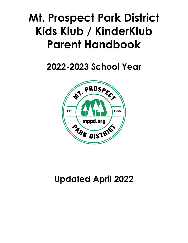# **Mt. Prospect Park District Kids Klub / KinderKlub Parent Handbook**

## **2022-2023 School Year**



## **Updated April 2022**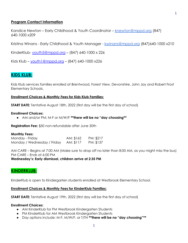#### **Program Contact Information**

Kandice Newton – Early Childhood & Youth Coordinator – [knewton@mppd.org](mailto:knewton@mppd.org) (847) 640-1000 x209

Kristina Winans - Early Childhood & Youth Manager - [kwinans@mppd.org](mailto:kwinans@mppd.org) (847)640-1000 x210

KinderKlub- [youth5@mppd.org](mailto:youth5@mppd.org) – (847) 640-1000 x 226

Kids Klub – [youth1@mppd.org](mailto:youth1@mppd.org) – (847) 640-1000 x226

## **KIDS KLUB:**

Kids Klub services families enrolled at Brentwood, Forest View, Devonshire, John Jay and Robert Frost Elementary Schools.

#### **Enrollment Choices & Monthly Fees for Kids Klub Families:**

**START DATE:** Tentative August 18th, 2022 (first day will be the first day of school)

#### **Enrollment Choices:**

● AM and/or PM; M-F or M/W/F **\*\*there will be no "day choosing\*\***

**Registration Fee:** \$50 non-refundable after June 30th

#### **Monthly Fees:**

| Monday - Friday             | AM: \$162 | PM: \$217 |
|-----------------------------|-----------|-----------|
| Monday / Wednesday / Friday | AM: \$117 | PM: \$137 |

AM CARE – Begins at 7:00 AM (Make sure to drop off no later than 8:00 AM, as you might miss the bus) PM CARE – Ends at 6:00 PM

**Wednesday's: Early dismissal, children arrive at 2:35 PM**

## **KINDERKLUB:**

KinderKlub is open to Kindergarten students enrolled at Westbrook Elementary School.

#### **Enrollment Choices & Monthly Fees for KinderKlub Families:**

**START DATE:** Tentative August 19th, 2022 (first day will be the first day of school)

#### **Enrollment Choices:**

- AM KinderKlub for PM Westbrook Kindergarten Students
- PM KinderKlub for AM Westbrook Kindergarten Students
- Day options include: M-F, M/W/F, or T/TH **\*\*there will be no "day choosing"\*\***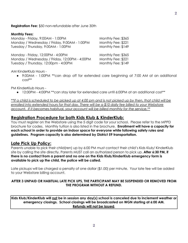**Registration Fee:** \$50 non-refundable after June 30th

#### **Monthly Fees:**

| Monday - Friday, 9:00AM - 1:00PM              | Monthly Fee: \$365 |
|-----------------------------------------------|--------------------|
| Monday / Wednesday / Friday, 9:00AM - 1:00PM  | Monthly Fee: \$221 |
| Tuesday / Thursday, 9:00AM - 1:00PM           | Monthly Fee: \$149 |
| Monday - Friday, 12:00PM - 4:00PM             | Monthly Fee: \$365 |
| Monday / Wednesday / Friday, 12:00PM - 4:00PM | Monthly Fee: \$221 |
| Tuesday / Thursday, 12:00pm - 4:00PM          | Monthly Fee: \$149 |

AM KinderKlub Hours -

● 9:00AM - 1:00PM \*\*can drop off for extended care beginning at 7:00 AM at an additional cost\*\*

PM KinderKlub Hours -

• 12:00PM - 4:00PM \*\* can stay later for extended care until 6:00PM at an additional cost \*\*

\*\*If a child is scheduled to be picked up at 4:00 pm and is not picked up by then, that child will be *enrolled into extended hours for that day. There will be a \$10 daily fee billed to your Webstore account. If it becomes habitual, your account will be billed monthly for the service.\*\**

## **Registration Procedure for both Kids Klub & KinderKlub:**

You must register on the Webstore using the 5 digit code for your school. Please refer to the MPPD brochure for codes. Monthly tuition is also listed in the brochure. **Enrollment will have a capacity for each school in order to provide an indoor space for everyone while following safety rules and guidelines. Program capacity is also determined by District 59 transportation.**

## **Late Pick Up Policy:**

Parents unable to pick their child(ren) up by 6:00 PM must contact their child's Kids Klub/ KinderKlub site by calling the site directly. Parents MUST call an authorized person to pick up. **After 6:30 PM, if there is no contact from a parent and no one on the Kids Klub/KinderKlub emergency form is available to pick up the child, the police will be called.**

Late pickups will be charged a penalty of one dollar (\$1.00) per minute. Your late fee will be added to your Webstore billing account.

#### **AFTER 3 UNPAID OR HABITUAL LATE PICK UPS, THE PARTICIPANT MAY BE SUSPENDED OR REMOVED FROM THE PROGRAM WITHOUT A REFUND.**

**Kids Klub/KinderKlub will not be in session any day(s) school is canceled due to inclement weather or emergency closings. School closings will be broadcasted on WGN starting at 6:00 AM. Refunds will not be issued.**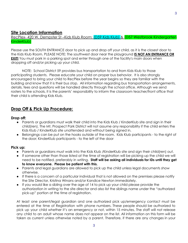## **Site Location Information**

RecPlex- 420 W. Dempster St –Kids Klub Room: (D59 Kids Klub) & (D57 Westbrook Kindergarten KinderKlub)

Please use the SOUTH ENTRANCE door to pick up and drop off your child, as it is the closest door to the Kids Klub Room. PLEASE NOTE: The southwest door near the playground **IS NOT AN ENTRANCE OR EXIT!** You must park in a parking spot and enter through one of the facility's main doors when dropping off and/or picking up your child.

NOTE: School District 59 provides bus transportation to and from Kids Klub to those participating students. Please educate your child on proper bus behavior. It is also strongly encouraged to bring your child to RecPlex before the year begins so they are familiar with the building and know that it is their bus stop. All information regarding bus transportation arrangements, details, fees and questions will be handled directly through the school office. Although we send rosters to the schools, it is the parents' responsibility to inform the classroom teacher/front office that their child is attending Kids Klub.

## **Drop Off & Pick Up Procedure:**

#### **Drop off:**

- Parents or guardians must walk their child into the Kids Klub / KinderKlub site and sign in their child(ren). The Mt. Prospect Park District will not assume any responsibility if the child enters the Kids Klub / KinderKlub site unattended and without being signed in.
- Belongings can be put on the hooks outside of the room. Kids Klub participants to the right of the door; KinderKlub participants - to the left of the door

#### **Pick up:**

- Parents or guardians must walk into the Kids Klub /KinderKlub site and sign their child(ren) out.
- If someone other than those listed at the time of registration will be picking up the child we will need to be notified, preferably in writing. **Staff will be asking all individuals for IDs until they get to know everyone. Please be patient with this.**
- Parents and legal guardians are allowed to pick up the child unless legal documents show otherwise.
- If there is a concern of a particular individual that is not allowed on the premises please notify the Site Director, Kristina Winans and/or Kandice Newton immediately.
- If you would like a sibling over the age of 14 to pick up your child please provide the authorization in writing to the site director and also list the siblings name under the "authorized pick-up" portion at the time of registration.

At least one parent/legal guardian and one authorized pick up/emergency contact must be entered at the time of Registration with phone numbers. These people should be authorized to pick up your child whether it's an emergency or not, within 15 minutes. The staff will not release any child to an adult whose name does not appear on the list. All information on this form will be taken as current unless otherwise noted by a parent. Therefore, if there are any changes in your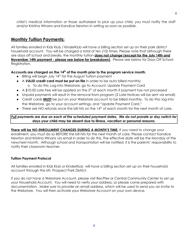child's medical information or those authorized to pick up your child, you must notify the staff and/or Kristina Winans and Kandice Newton in writing as soon as possible.

## **Monthly Tuition Payments:**

All families enrolled in Kids Klub / KinderKlub will have a billing section set up on their park district household account. You will be charged a total of ten (10) times. Please note that although there are days off school and breaks, the monthly tuition **does not change (except for the July 14th and November 14th payment - please see below for breakdown)**. Please see below for Days Off School Registration.

#### **Accounts are charged on the 14 th of the month prior to the program service month.**

- Billing will begin July 14<sup>th</sup> for the August Tuition payment
- A **VALID credit card must be put on file** in order to be auto billed monthly o To do this: Log into Webstore, go to Account, Update Payment Card
- $\bullet$  A \$10.00 Late Fee will be applied on the  $5<sup>th</sup>$  of each month if payment has not processed
- Unpaid payments will result in the removal from program (2 Late Notices will be sent via email)
- Credit cards **MUST** be put on your Webstore account to be billed monthly. To do this: log into the Webstore, go to your account settings, and "Update Payment Card."
- There are NO refunds once the bill hits on the 14<sup>th</sup> of each month for the next month of care.

#### Full payments are due on each of the scheduled payment dates. We do not prorate or day switch for **days your child may be absent due to illness, vacation or personal reasons.**

**There will be NO ENROLLMENT CHANGES DURING A MONTH'S TIME.** If you need to change your enrollment, you must do so BEFORE the bill hits for the next month of care. Please contact Kandice Newton and Kristina Winans via email in order to do this. The effective date will be the Monday of the new/next month. Although school and transportation will be notified, it is the parents' responsibility to notify their classroom teacher.

#### **Tuition Payment Protocol**

All families enrolled in Kids Klub or KinderKlub will have a billing section set up on their household account through the Mt. Prospect Park District.

If you do not have a Webstore Account, please visit RecPlex or Central Community Center to set up your Household Account. You will need to verify your address, so please come prepared with documentation. Make sure to provide an email address, which will be used to send you an Invite to the Webstore. You will then activate your Webstore Account on your own device.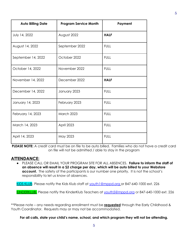| <b>Auto Billing Date</b> | <b>Program Service Month</b> | Payment     |
|--------------------------|------------------------------|-------------|
| July 14, 2022            | August 2022                  | <b>HALF</b> |
| August 14, 2022          | September 2022               | <b>FULL</b> |
| September 14, 2022       | October 2022                 | <b>FULL</b> |
| October 14, 2022         | November 2022                | <b>FULL</b> |
| November 14, 2022        | December 2022                | <b>HALF</b> |
| December 14, 2022        | January 2023                 | <b>FULL</b> |
| January 14, 2023         | February 2023                | <b>FULL</b> |
| February 14, 2023        | March 2023                   | <b>FULL</b> |
| March 14, 2023           | April 2023                   | <b>FULL</b> |
| April 14, 2023           | May 2023                     | <b>FULL</b> |

**PLEASE NOTE:** A credit card must be on file to be auto billed. Families who do not have a credit card on file will not be admitted / able to stay in the program

## **ATTENDANCE:**

● PLEASE CALL OR EMAIL YOUR PROGRAM SITE FOR ALL ABSENCES. **Failure to inform the staff of an absence will result in a \$2 charge per day, which will be auto billed to your Webstore account.** The safety of the participants is our number one priority. It is not the school's responsibility to let us know of absences.

KIDS KLUB- Please notify the Kids Klub staff at [youth1@mppd.org](mailto:youth1@mppd.org) or 847-640-1000 ext. 226

KINDERKLUB- Please notify the KinderKlub Teachers at [youth5@mppd.org](mailto:youth5@mppd.org) or 847-640-1000 ext. 226

\*\*Please note – any needs regarding enrollment must be **requested** through the Early Childhood & Youth Coordinator. Requests may or may not be accommodated.

**For all calls, state your child's name, school, and which program they will not be attending.**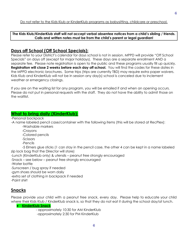#### **The Kids Klub/KinderKlub staff will not accept verbal absentee notices from a child's sibling / friends. Calls and written notes must be from the child's parent or legal guardian!**

## **Days off School (Off School Specials):**

Please refer to your District's calendar for days school is not in session. MPPD will provide "Off School Specials" on days off (except for major holidays). These days are a separate enrollment AND a separate fee. Please note registration is open to the public and these programs usually fill up quickly. **Registration will close 2 weeks before each day off school.** You will find the codes for these dates in the MPPD electronic brochures. Some trips (trips are currently TBD) may require extra paper waivers. Kids Klub and KinderKlub will not be in session any day(s) school is canceled due to inclement weather or emergency closings.

If you are on the waiting list for any program, you will be emailed if and when an opening occurs. Please do not put in personal requests with the staff. They do not have the ability to admit those on the waitlist.

## **What to bring daily (KinderKlub):**

-Personal backpack

-A name labeled pencil case/container with the following items (this will be stored at RecPlex):

- -Washable markers
- -Crayons
- -Colored pencils
- -Scissors
- -Pencils

-5 Elmers glue sticks (1 can stay in the pencil case, the other 4 can be kept in a name labeled zip lock bag that the Director will store)

-Lunch (KinderKlub only) & utensils – peanut free strongly encouraged

-Snack – see below – peanut free strongly encouraged

-Water bottle

-Sunscreen / bug spray if needed

- -gym shoes should be worn daily
- -extra set of clothing in backpack if needed
- -Paint shirt

## **Snacks**

Please provide your child with a peanut free snack, every day. Please help to educate your child where their Kids Klub / KinderKlub snack is, so that they do not eat it during the school day/at lunch.

● **KinderKlub Snack**

- approximately 10:30 for AM KinderKlub

-approximately 2:30 for PM KinderKlub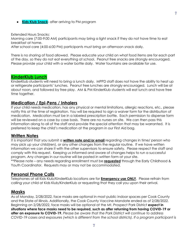**Kids Klub Snack**- after arriving to PM program

Extended Hours Snacks:

Morning care (7:00-9:00 AM) participants may bring a light snack if they do not have time to eat breakfast at home.

After school care (4:00-6:00 PM) participants must bring an afternoon snack daily.

There is no sharing of food allowed. Please educate your child on what food items are for each part of the day, so they do not eat everything at school. Peanut free snacks are strongly encouraged. Please provide your child with a water bottle daily. Water fountains are available for use.

#### **KinderKlub Lunch**

KinderKlub students will need to bring a lunch daily. MPPD staff does not have the ability to heat up or refrigerate participants' lunches. Peanut free lunches are strongly encouraged. Lunch will be at about noon, and followed by free play. AM & PM KinderKlub students will eat lunch and have free time together.

#### **Medication / Epi-Pens / Inhalers**

If your child needs medication, has any physical or mental limitations, allergic reactions, etc., please notify this at the time of registration. You will be required to sign a waiver form for the distribution of medication. Medication must be in a labeled prescription bottle. Each permission to dispense form will be reviewed on a case by case basis. There are no nurses on site. We can then pass this information along to all of the staff and provide the special attention that may be warranted. It is preferred to keep the child's medication at the program in our First Aid bag.

#### **Written Notes**

It is important that you submit a **written note and/or email** regarding changes in time/ person who may pick up your child(ren), or any other changes from the regular routine. If we have written information we can share it with the other supervisors to ensure safety. Please respect the staff and comply with this request. Keeping us informed and aware of changes helps to run a successful program. Any changes in our routine will be posted in written form at your site. \*\*Please note – any needs regarding enrollment must be **requested** through the Early Childhood & Youth Coordinator. Requests may or may not be accommodated.

#### **Personal Phone Calls**

Telephones at all Kids Klub/KinderKlub locations are for **Emergency use ONLY**. Please refrain from calling your child at Kids Klub/KinderKlub or requesting that they call you upon their arrival.

#### **Masks**

As of Monday, 2/28/2022, face masks are optional in most public indoor spaces per Cook County and the State of Illinois. Additionally, the Cook County Vaccine Mandate ended as of 2/28/2022. Beginning on 2/28/2022, face masks will be optional at the Mt. Prospect Park District **expect in situations where face masks need to be required, such as after returning from having COVID-19 or after an exposure to COVID-19.** *Please be aware that the Park District will continue to address COVID-19 cases and exposures (which is different from the school districts). If a program participant is*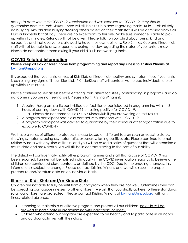*not up to date with their COVID-19 vaccination and was exposed to COVID-19, they should quarantine from the Park District.* There will still be rules in places regarding masks. Rule 1 - absolutely no bullying. Any children bullying/teasing others based on their mask status will be dismissed from Kids Klub or KinderKlub that day. There are no exceptions to this rule. Make sure someone is able to pick up within 15 minutes. Refunds will not be given. Please talk to your child about being kind and respectful, and that everyone is allowed to have their own opinions. Rule 2 - Kids Klub and KinderKlub staff will not be able to answer questions during the day regarding the status of your child's mask. Please do not contact them asking if your child is / is not wearing theirs.

## **COVID Related Information**

**Please keep all sick children home from programming and report any illness to Kristina Winans at [kwinans@mppd.org](mailto:kwinans@mppd.org)**

It is expected that your child arrives at Kids Klub or KinderKlub healthy and symptom free. If your child is exhibiting any signs of illness, Kids Klub / KinderKlub staff will contact Authorized Individuals to pick up within 15 minutes.

Please continue to self assess before entering Park District facilities / participating in programs, and do not come if you are not feeling well. Please inform Kristina Winans if:

- 1. A patron/program participant visited our facilities or participated in programming within 48 hours of coming down with COVID-19 or testing positive for COVID-19.
	- a. Please do not come to Kids Klub / KinderKlub if you are waiting on test results
- 2. A program participant had close contact with someone with COVID-19.
- 3. A program participant was advised to quarantine by their school or other organization due to exposure to COVID-19.

We have a series of different protocols in place based on different factors such as vaccine status, showing symptoms, being asymptomatic, exposures, testing positive, etc. Please continue to email Kristina Winans with any kind of illness, and you will be asked a series of questions that will determine a return date and mask status. We will still be in contact tracing to the best of our ability.

The district will confidentially notify other program families and staff that a case of COVID-19 has been reported. Families will be notified individually if the COVID investigation leads us to believe other children are considered close contacts, as defined by the CDC. Due to the ongoing changes, this information is subject to change. Please contact Kristina Winans and we will discuss the proper procedure and/or return date on an individual basis.

## **Illness at Kids Klub and/or KinderKlub**

Children are not able to fully benefit from our program when they are not well. Oftentimes they can be spreading contagious illnesses to other children. We ask that you strictly adhere to these standards so all our children are protected. Please contact Kristina Winans at [kwinans@mppd.org](mailto:kwinans@mppd.org) with any illness related absence.

- Intending to maintain a qualitative program and protect all our children, no child will be allowed to participate in programming with indications of illness.
- Children who attend our program are expected to be healthy and to participate in all indoor and outdoor activities with their class.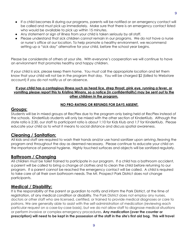- If a child becomes ill during our programs, parents will be notified or an emergency contact will be called and must pick up immediately. Make sure that there is an emergency contact listed who would be available to pick up within 15 minutes.
- **●** Any statement or sign of illness from your child is taken seriously by all staff.
- **●** Please understand that sick children cannot remain in our programs. We do not have a nurse or nurse's office at our location. To help promote a healthy environment, we recommend setting up a "sick day" alternative for your child, before the school year begins.

Please be considerate of others at your site. With everyone's cooperation we will continue to have an environment that promotes healthy and happy children.

If your child is sick, please keep them home. You must call the appropriate location and let them know that your child will not be in the program that day. You will be charged \$2 (billed to Webstore account) if you do not notify us of an absence.

#### If your child has a contagious illness such as head lice, strep throat, pink eye, running a fever, or vomiting please report this to Kristing Winans, so a notice (in confidentiality) may be sent out to the **other children in the program.**

## **NO PRO-RATING OR REFUNDS FOR DAYS ABSENT.**

## **Groups:**

Students will be in mixed groups at RecPlex due to the program only being held at RecPlex instead of the schools. KinderKlub students will only be mixed with the other section of KinderKlub. Although the state ratio is 2:30, our staff to participant ratio is about 1:10 for Kids Klub and 1:7 for KinderKlub. Please educate your child as to what it means to social distance and discuss spatial awareness.

## **Cleaning / Sanitation:**

All kids and staff are required to wash their hands and/or use hand sanitizer upon arriving /leaving the program and throughout the day as deemed necessary. Please continue to educate your child on the importance of personal hygiene. Highly touched surfaces and objects will be sanitized regularly.

## **Bathroom / Changing**

All children must be toilet trained to participate in our program. If a child has a bathroom accident, a parent will be called to bring a change of clothes and to clean the child before returning to our program. If a parent cannot be reached the emergency contact will be called. A child is required to take care of all their own bathroom needs. The Mt. Prospect Park District does not change participants.

## **Medical / Disability:**

It is the responsibility of the parent or guardian to notify and inform the Park District, at the time of registration, of any medical condition or disability. The Park District does not employ any nurses, doctors or other staff who are licensed, certified, or trained to provide medical diagnoses or care to patrons. We are generally able to assist with the self-administration of medication (reviewing each particular request on a case-by-case basis), but we do not allow staff to diagnose medical situations or perform invasive or complex emergency procedures**. Any medication (over the counter or** prescription) will need to be kept in the possession of the staff in the site's first aid bag. This will travel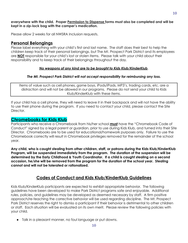**everywhere with the child. Proper Permission to Dispense forms must also be completed and will be kept in a zip-lock bag with the camper's medication.**

Please allow 2 weeks for all NWSRA Inclusion requests.

## **Personal Belongings**

Please label everything with your child's first and last name. The staff does their best to help the children keep track of their personal belongings, but The Mt. Prospect Park District and its employees are **NOT** responsible for your child's lost or stolen items. Please talk with your child about their responsibility and to keep track of their belongings throughout the day.

#### *No weapons of any kind are to be brought to Kids Klub/KinderKlub*.

#### *The Mt. Prospect Park District will not accept responsibility for reimbursing any loss.*

Items of value such as cell phones, game boys, iPods/iPads, MP3's, trading cards, etc. are a distraction and will not be allowed in our programs. Please do not send your child to Kids Klub/KinderKlub with these items.

If your child has a cell phone, they will need to leave it in their backpack and will not have the ability to use their phone during the program. If you need to contact your child, please contact the Site Director.

## **Chromebooks for Kids Klub**

Participants who receive a Chromebook from his/her school **must** have the "Chromebook Code of Conduct" signed by a legal parent or guardian, prior to use during Kids Klub, and turned into their Site Director. Chromebooks are to be used for educational/homework purposes only. Failure to use the Chromebook correctly will result in Chromebook privileges removed for the remainder of the school year.

**Any child, who is caught stealing from other children, staff, or patrons during the Kids Klub/KinderKlub Program, will be suspended immediately from the program. The duration of the suspension will be determined by the Early Childhood & Youth Coordinator. If a child is caught stealing on a second occasion, he/she will be removed from the program for the duration of the school year. Stealing cannot and will not be tolerated or rationalized.**

## **Codes of Conduct and Kids Klub/KinderKlub Guidelines**

Kids Klub/KinderKlub participants are expected to exhibit appropriate behavior. The following guidelines have been developed to make Park District programs safe and enjoyable. Additional rules, policies, and guidelines may be developed as deemed necessary by staff. A firm positive approach/re-teaching the corrective behavior will be used regarding discipline. The Mt. Prospect Park District reserves the right to dismiss a participant if their behavior is detrimental to other children or staff. Each situation will be evaluated on its own merit. Please review the following policies with your child.

● Talk in a pleasant manner, no foul language or put downs.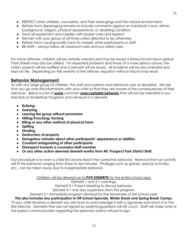- RESPECT other children, counselors, and their belongings and the natural environment.
- Refrain from disparaging remarks to include comments against an individual's race, ethnic background, religion, physical appearance, or disabling condition.
- Treat all equipment and supplies with proper care and respect.
- Remain with your group at all times unless directed to do otherwise.
- Refrain from causing bodily harm to oneself, other participants or staff.
- BE SAFE always follow all classroom rules and bus safety rules.

For minor offenses, children will be verbally warned and may be issued a timeout/cool down period. Think Sheets may also be utilized. For repeated problems and those of a more serious nature, the child's parents will be notified and a Demerit will be issued. All incidents will be documented and kept on file. Depending on the severity of the offense, expulsion without refund may result.

## **Behavior Management**

As with any large group of children, the staff and parents must reinforce rules of discipline. We ask that you go over this information with your child so that they are aware of the consequences of their behavior. Below is a list of **some** common **unacceptable behavior** that will not be tolerated in our Kids Klub or KinderKlub Programs and will result in a demerit.

- **● Bullying**
- **● Swearing**
- **● Leaving the group without permission**
- **● Hitting/Punching/ Kicking**
- **● Biting or any other method of physical harm**
- **● Spitting**
- **● Stealing**
- **● Destruction of property**
- **● Derogatory remarks about other participants' appearance or abilities**
- **● Constant antagonizing of other participants**
- **● Disrespect towards a counselor/staff member**
- **● Or any other action deemed demerit worthy from Mt. Prospect Park District Staff.**

Our procedure is to warn a child first and re-teach the corrective behavior. Removal from an activity will fit the behavior ranging from three to ten minutes. Privileges such as games, special activities, etc., can be taken away due to inappropriate behavior.

Children will be allowed up to **FIVE DEMERITS** for the entire school year.

Demerit 1 and 2 = warnings,

Demerit 3 = Parent Meeting to discuss behavior,

Demerit 4 = one day suspension from the program,

Demerit 5 = immediate program dismissal for the remainder of the school year.

**This also includes any participation in Off School Specials, Winter Break and Spring Break Camps.** \*If your child receives a demerit you will have to acknowledge it with a signature and return it to the Site Director. Demerits that are not signed by parents/guardians will still count. Staff will make note of the parent communication regarding the behavior and/or refusal to sign.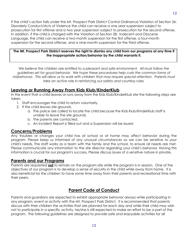If the child's action falls under the Mt. Prospect Park District Control Ordinance Violation of Section 26: Disorderly Conduct/Acts of Violence the child can receive a one year suspension subject to prosecution for first offense and a two year suspension subject to prosecution for the second offense. In addition, if the child is charged with the Violation of Section 28: Indecent and Obscene Language, the child can receive a two-month suspension for the first offense, a four-month suspension for the second offense, and a nine-month suspension for the third offense.

#### The Mt. Prospect Park District reserves the right to dismiss any child from our programs at any time if **the inappropriate action/behavior by the child warrants it.**

*We believe the children are entitled to a pleasant and safe environment. All must follow the guidelines set for good behavior. We hope these procedures help curb the common forms of misbehavior. This will allow us to work with children that may require special attention. Parents must take an active role in reinforcing our safety and courtesy rules.*

## **Leaving or Running Away From Kids Klub/KinderKlub**

In the event that a child leaves or runs away from the Kids Klub/KinderKlub site the following steps are taken.

- 1. Staff encourages the child to return voluntarily.
- 2. If the child leaves site grounds.
	- a. The police are called to locate the child because the Kids Klub/KinderKlub staff is unable to leave the site grounds.
	- b. The parents are contacted.
	- c. An Incident Report is filled out and a Suspension will be issued

## **Concerns/Problems**

Any troubles or changes your child has at school or at home may affect behavior during the program. Please keep us informed of any unusual circumstances so we can be sensitive to your child's needs. The staff works as a team with the family and the school, to ensure all needs are met. Please communicate any information to the site director regarding your child's behavior. Having this information is crucial for our program's success. Please discuss issues of a sensitive nature in private.

## **Parents and our Programs**

Parents are requested **not** to remain on the program site while the program is in session. One of the objectives of our program is to develop a sense of security in the child while away from home. It is also beneficial for the children to have some time away from their parents and recreational time with their peers.

## **Parent Code of Conduct**

Parents and guardians are expected to exhibit appropriate behavior always while participating in any program, event or activity with the Mt. Prospect Park District. It is recommended that parents discuss with their children the activities that are planned for each day and while their child may wish not to participate in a specific activity, he/she is still expected to make an effort to be a part of the program. The following guidelines are designed to provide safe and enjoyable activities for all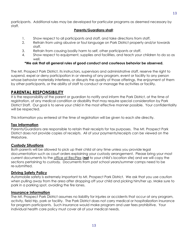participants. Additional rules may be developed for particular programs as deemed necessary by staff.

#### **Parents/Guardians shall**:

- 1. Show respect to all participants and staff, and take directions from staff.
- 2. Refrain from using abusive or foul language on Park District property and/or towards staff.
- 3. Refrain from causing bodily harm to self, other participants or staff.
- 4. Show respect to equipment, supplies and facilities, and teach your children to do so as well.

## **\*We ask that all general rules of good conduct and courteous behavior be observed.**

The Mt. Prospect Park District, its instructors, supervisors and administrative staff, reserve the right to suspend, expel or deny participation in or viewing of any program, event or facility to any person whose behavior materially interferes, or disrupts the quality of those offerings, the enjoyment of them by other participants, or the ability of staff to conduct or manage the activities or facility.

## **PARENTAL RESPONSIBILITY**

It is the responsibility of the parent or guardian to notify and inform the Park District, at the time of registration, of any medical condition or disability that may require special consideration by Park District Staff. Our goal is to serve your child in the most effective manner possible. Your confidentiality will be respected.

This information you entered at the time of registration will be given to each site directly.

## **Tax Information**

Parents/Guardians are responsible to retain their receipts for tax purposes. The Mt. Prospect Park District does not provide copies of receipts. All of your payments/receipts can be viewed on the Webstore.

## **Custody Situations**

Both parents will be allowed to pick up their child at any time unless you provide legal documentation such as court orders explaining your custody arrangement. Please bring your most current documents to the office at RecPlex (**not** to your child's location site) and we will copy the sections pertaining to custody. Documents from past school years/summer camps need to be re-submitted.

## **Driving Safety Policy**

Automobile safety is extremely important to Mt. Prospect Park District. We ask that you use caution when pulling away from the area after dropping off your child and picking him/her up. Make sure to park in a parking spot, avoiding the fire lanes.

## **Insurance Information**

The Mt. Prospect Park District assumes no liability for injuries or accidents that occur at any program, activity, field trip, park or facility. The Park District does not carry medical or hospitalization insurance for program participants. Such insurance would make program and user fees prohibitive. Your individual health care policy must cover all of your medical needs.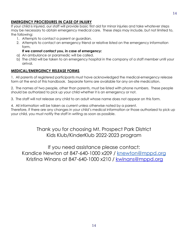## **EMERGENCY PROCEDURES IN CASE OF INJURY**

If your child is injured, our staff will provide basic first aid for minor injuries and take whatever steps may be necessary to obtain emergency medical care. These steps may include, but not limited to, the following:

- 1. Attempts to contact a parent or guardian.
- 2. Attempts to contact an emergency friend or relative listed on the emergency information form.

#### **If we cannot contact you, in case of emergency:**

- a) An ambulance or paramedic will be called.
- b) The child will be taken to an emergency hospital in the company of a staff member until your arrival.

## **MEDICAL/EMERGENCY RELEASE FORMS**

1. All parents of registered participants must have acknowledged the medical-emergency release form at the end of this handbook. Separate forms are available for any on-site medication.

2. The names of two people, other than parents, must be listed with phone numbers. These people should be authorized to pick up your child whether it is an emergency or not.

3. The staff will not release any child to an adult whose name does not appear on this form.

4. All information will be taken as current unless otherwise noted by a parent. Therefore, if there are any changes in your child's medical information or those authorized to pick up your child, you must notify the staff in writing as soon as possible.

> Thank you for choosing Mt. Prospect Park District Kids Klub/KinderKlub 2022-2023 program

If you need assistance please contact: Kandice Newton at 847-640-1000 x209 / [knewton@mppd.org](mailto:knewton@mppd.org) Kristina Winans at 847-640-1000 x210 / [kwinans@mppd.org](mailto:kwinans@mppd.org)